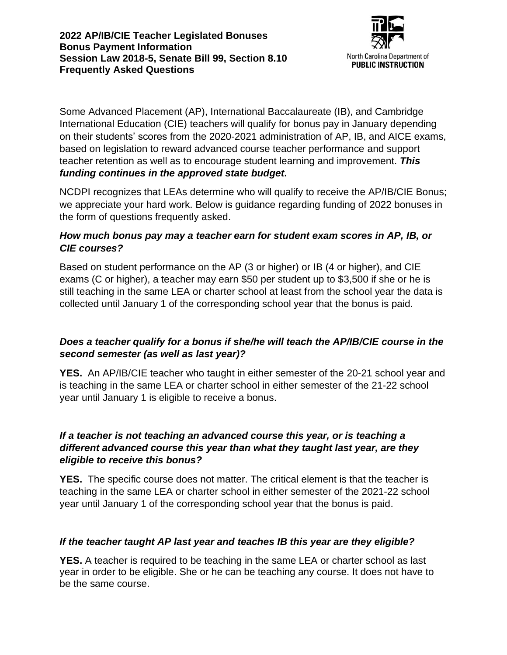

Some Advanced Placement (AP), International Baccalaureate (IB), and Cambridge International Education (CIE) teachers will qualify for bonus pay in January depending on their students' scores from the 2020-2021 administration of AP, IB, and AICE exams, based on legislation to reward advanced course teacher performance and support teacher retention as well as to encourage student learning and improvement. *This funding continues in the approved state budget***.**

NCDPI recognizes that LEAs determine who will qualify to receive the AP/IB/CIE Bonus; we appreciate your hard work. Below is guidance regarding funding of 2022 bonuses in the form of questions frequently asked.

## *How much bonus pay may a teacher earn for student exam scores in AP, IB, or CIE courses?*

Based on student performance on the AP (3 or higher) or IB (4 or higher), and CIE exams (C or higher), a teacher may earn \$50 per student up to \$3,500 if she or he is still teaching in the same LEA or charter school at least from the school year the data is collected until January 1 of the corresponding school year that the bonus is paid.

## *Does a teacher qualify for a bonus if she/he will teach the AP/IB/CIE course in the second semester (as well as last year)?*

**YES.** An AP/IB/CIE teacher who taught in either semester of the 20-21 school year and is teaching in the same LEA or charter school in either semester of the 21-22 school year until January 1 is eligible to receive a bonus.

## *If a teacher is not teaching an advanced course this year, or is teaching a different advanced course this year than what they taught last year, are they eligible to receive this bonus?*

**YES.** The specific course does not matter. The critical element is that the teacher is teaching in the same LEA or charter school in either semester of the 2021-22 school year until January 1 of the corresponding school year that the bonus is paid.

# *If the teacher taught AP last year and teaches IB this year are they eligible?*

**YES.** A teacher is required to be teaching in the same LEA or charter school as last year in order to be eligible. She or he can be teaching any course. It does not have to be the same course.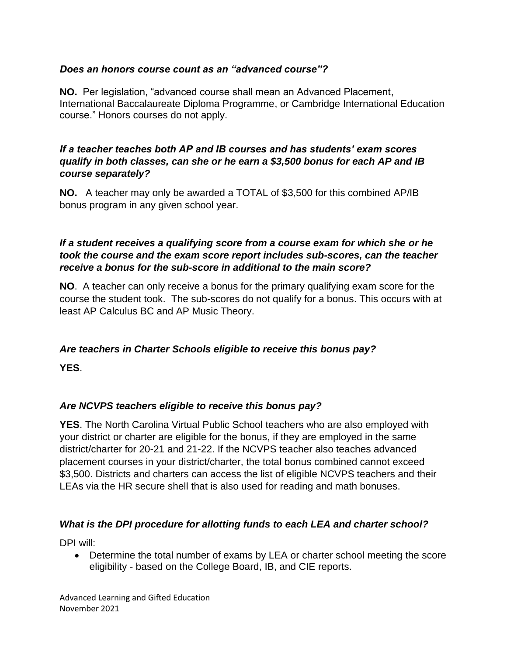## *Does an honors course count as an "advanced course"?*

**NO.** Per legislation, "advanced course shall mean an Advanced Placement, International Baccalaureate Diploma Programme, or Cambridge International Education course." Honors courses do not apply.

#### *If a teacher teaches both AP and IB courses and has students' exam scores qualify in both classes, can she or he earn a \$3,500 bonus for each AP and IB course separately?*

**NO.** A teacher may only be awarded a TOTAL of \$3,500 for this combined AP/IB bonus program in any given school year.

## *If a student receives a qualifying score from a course exam for which she or he took the course and the exam score report includes sub-scores, can the teacher receive a bonus for the sub-score in additional to the main score?*

**NO**. A teacher can only receive a bonus for the primary qualifying exam score for the course the student took. The sub-scores do not qualify for a bonus. This occurs with at least AP Calculus BC and AP Music Theory.

## *Are teachers in Charter Schools eligible to receive this bonus pay?*

**YES**.

## *Are NCVPS teachers eligible to receive this bonus pay?*

**YES**. The North Carolina Virtual Public School teachers who are also employed with your district or charter are eligible for the bonus, if they are employed in the same district/charter for 20-21 and 21-22. If the NCVPS teacher also teaches advanced placement courses in your district/charter, the total bonus combined cannot exceed \$3,500. Districts and charters can access the list of eligible NCVPS teachers and their LEAs via the HR secure shell that is also used for reading and math bonuses.

#### *What is the DPI procedure for allotting funds to each LEA and charter school?*

DPI will:

• Determine the total number of exams by LEA or charter school meeting the score eligibility - based on the College Board, IB, and CIE reports.